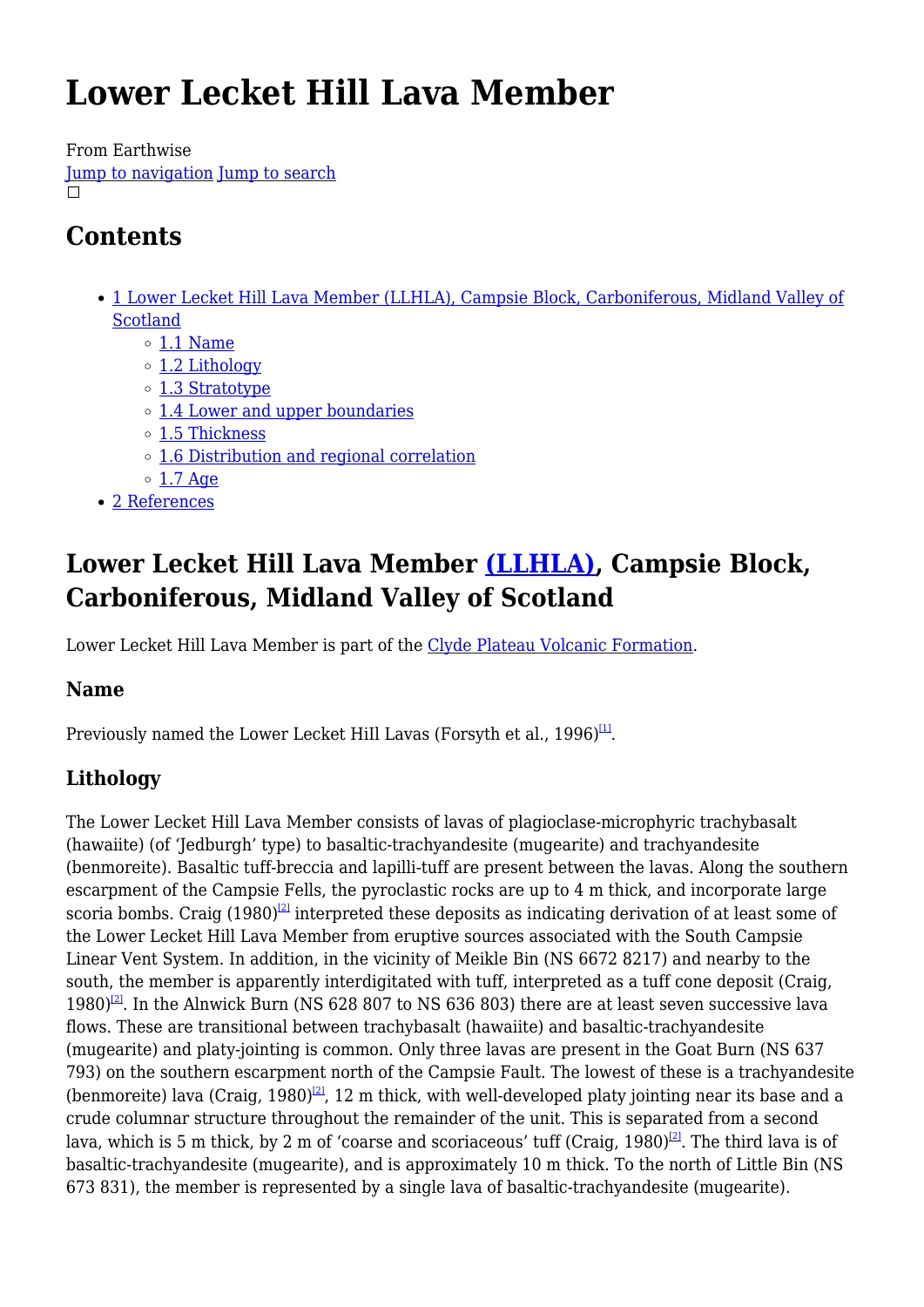# **Lower Lecket Hill Lava Member**

From Earthwise

[Jump to navigation](#page--1-0) [Jump to search](#page--1-0)  $\Box$ 

## **Contents**

- [1](#Lower_Lecket_Hill_Lava_Member_.28LLHLA.29.2C_Campsie_Block.2C_Carboniferous.2C_Midland_Valley_of_Scotland) [Lower Lecket Hill Lava Member \(LLHLA\), Campsie Block, Carboniferous, Midland Valley of](#Lower_Lecket_Hill_Lava_Member_.28LLHLA.29.2C_Campsie_Block.2C_Carboniferous.2C_Midland_Valley_of_Scotland) [Scotland](#Lower_Lecket_Hill_Lava_Member_.28LLHLA.29.2C_Campsie_Block.2C_Carboniferous.2C_Midland_Valley_of_Scotland)
	- $\circ$  [1.1](#page--1-0) [Name](#page--1-0)
	- [1.2](#page--1-0) [Lithology](#page--1-0)
	- [1.3](#page--1-0) [Stratotype](#page--1-0)
	- [1.4](#page--1-0) [Lower and upper boundaries](#page--1-0)
	- [1.5](#page--1-0) [Thickness](#page--1-0)
	- [1.6](#page--1-0) [Distribution and regional correlation](#page--1-0)
	- $\circ$  [1.7](#page--1-0) [Age](#page--1-0)
- [2](#page--1-0) [References](#page--1-0)

## **Lower Lecket Hill Lava Member [\(LLHLA\),](http://www.bgs.ac.uk/lexicon/lexicon.cfm?pub=LLHLA) Campsie Block, Carboniferous, Midland Valley of Scotland**

Lower Lecket Hill Lava Member is part of the [Clyde Plateau Volcanic Formation](http://earthwise.bgs.ac.uk/index.php/Clyde_Plateau_Volcanic_Formation).

## **Name**

Previously named the Lower Lecket HiIl Lavas (Forsyth et al., 1996) $^{\text{11}}$ .

## **Lithology**

The Lower Lecket Hill Lava Member consists of lavas of plagioclase-microphyric trachybasalt (hawaiite) (of 'Jedburgh' type) to basaltic-trachyandesite (mugearite) and trachyandesite (benmoreite). Basaltic tuff-breccia and lapilli-tuff are present between the lavas. Along the southern escarpment of the Campsie Fells, the pyroclastic rocks are up to 4 m thick, and incorporate large scoria bombs. Craig  $(1980)^{2}$  interpreted these deposits as indicating derivation of at least some of the Lower Lecket Hill Lava Member from eruptive sources associated with the South Campsie Linear Vent System. In addition, in the vicinity of Meikle Bin (NS 6672 8217) and nearby to the south, the member is apparently interdigitated with tuff, interpreted as a tuff cone deposit (Craig, 1980)<sup>[\[2\]](#page--1-0)</sup>. In the Alnwick Burn (NS 628 807 to NS 636 803) there are at least seven successive lava flows. These are transitional between trachybasalt (hawaiite) and basaltic-trachyandesite (mugearite) and platy-jointing is common. Only three lavas are present in the Goat Burn (NS 637 793) on the southern escarpment north of the Campsie Fault. The lowest of these is a trachyandesite (benmoreite) lava (Craig, 1980)<sup>[\[2\]](#page--1-0)</sup>, 12 m thick, with well-developed platy jointing near its base and a crude columnar structure throughout the remainder of the unit. This is separated from a second lava, which is 5 m thick, by 2 m of 'coarse and scoriaceous' tuff (Craig, 1980)<sup>[\[2\]](#page--1-0)</sup>. The third lava is of basaltic-trachyandesite (mugearite), and is approximately 10 m thick. To the north of Little Bin (NS 673 831), the member is represented by a single lava of basaltic-trachyandesite (mugearite).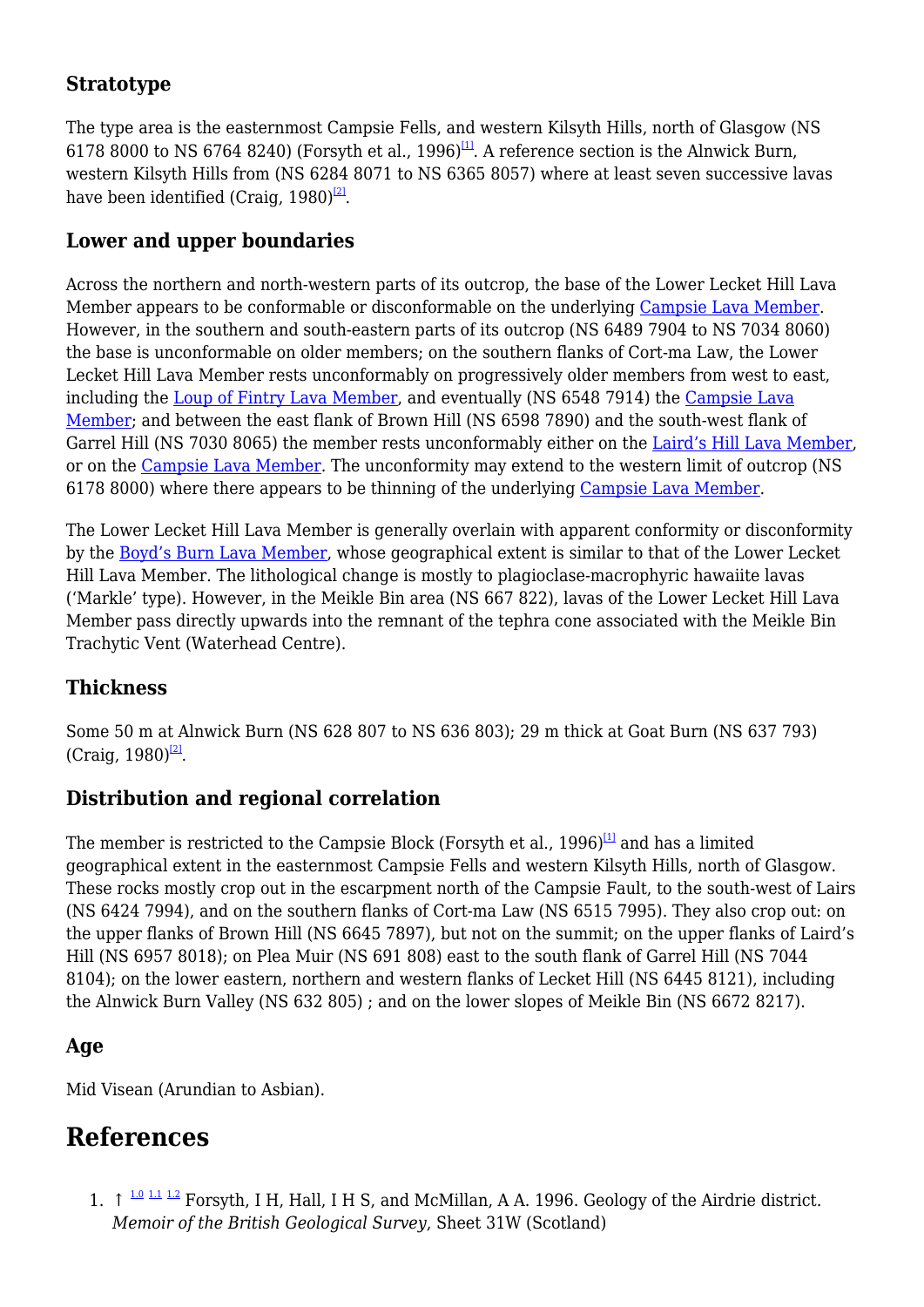## **Stratotype**

The type area is the easternmost Campsie Fells, and western Kilsyth Hills, north of Glasgow (NS 6178 8000 to NS 6764 8240) (Forsyth et al., 1996)<sup>[\[1\]](#page--1-0)</sup>. A reference section is the Alnwick Burn, western Kilsyth Hills from (NS 6284 8071 to NS 6365 8057) where at least seven successive lavas have been identified (Craig, 1980)<sup>[\[2\]](#page--1-0)</sup>.

## **Lower and upper boundaries**

Across the northern and north-western parts of its outcrop, the base of the Lower Lecket Hill Lava Member appears to be conformable or disconformable on the underlying [Campsie Lava Member](http://earthwise.bgs.ac.uk/index.php/Campsie_Lava_Member). However, in the southern and south-eastern parts of its outcrop (NS 6489 7904 to NS 7034 8060) the base is unconformable on older members; on the southern flanks of Cort-ma Law, the Lower Lecket Hill Lava Member rests unconformably on progressively older members from west to east, including the [Loup of Fintry Lava Member](http://earthwise.bgs.ac.uk/index.php/Loup_of_Fintry_Lava_Member), and eventually (NS 6548 7914) the [Campsie Lava](http://earthwise.bgs.ac.uk/index.php/Campsie_Lava_Member) [Member;](http://earthwise.bgs.ac.uk/index.php/Campsie_Lava_Member) and between the east flank of Brown Hill (NS 6598 7890) and the south-west flank of Garrel Hill (NS 7030 8065) the member rests unconformably either on the [Laird's Hill Lava Member](http://earthwise.bgs.ac.uk/index.php/Laird%E2%80%99s_Hill_Lava_Member), or on the [Campsie Lava Member](http://earthwise.bgs.ac.uk/index.php/Campsie_Lava_Member). The unconformity may extend to the western limit of outcrop (NS 6178 8000) where there appears to be thinning of the underlying [Campsie Lava Member.](http://earthwise.bgs.ac.uk/index.php/Campsie_Lava_Member)

The Lower Lecket Hill Lava Member is generally overlain with apparent conformity or disconformity by the [Boyd's Burn Lava Member,](http://earthwise.bgs.ac.uk/index.php/Boyd%E2%80%99s_Burn_Lava_Member) whose geographical extent is similar to that of the Lower Lecket Hill Lava Member. The lithological change is mostly to plagioclase-macrophyric hawaiite lavas ('Markle' type). However, in the Meikle Bin area (NS 667 822), lavas of the Lower Lecket Hill Lava Member pass directly upwards into the remnant of the tephra cone associated with the Meikle Bin Trachytic Vent (Waterhead Centre).

### **Thickness**

Some 50 m at Alnwick Burn (NS 628 807 to NS 636 803); 29 m thick at Goat Burn (NS 637 793) (Craig,  $1980$ <sup>[\[2\]](#page--1-0)</sup>.

### **Distribution and regional correlation**

The member is restricted to the Campsie Block (Forsyth et al.,  $1996$ )<sup>[\[1\]](#page--1-0)</sup> and has a limited geographical extent in the easternmost Campsie Fells and western Kilsyth Hills, north of Glasgow. These rocks mostly crop out in the escarpment north of the Campsie Fault, to the south-west of Lairs (NS 6424 7994), and on the southern flanks of Cort-ma Law (NS 6515 7995). They also crop out: on the upper flanks of Brown Hill (NS 6645 7897), but not on the summit; on the upper flanks of Laird's Hill (NS 6957 8018); on Plea Muir (NS 691 808) east to the south flank of Garrel Hill (NS 7044 8104); on the lower eastern, northern and western flanks of Lecket Hill (NS 6445 8121), including the Alnwick Burn Valley (NS 632 805) ; and on the lower slopes of Meikle Bin (NS 6672 8217).

### **Age**

Mid Visean (Arundian to Asbian).

## **References**

1.  $\uparrow$  <sup>[1.0](#page--1-0) [1.1](#page--1-0) [1.2](#page--1-0)</sup> Forsyth, I H, Hall, I H S, and McMillan, A A. 1996. Geology of the Airdrie district. *Memoir of the British Geological Survey*, Sheet 31W (Scotland)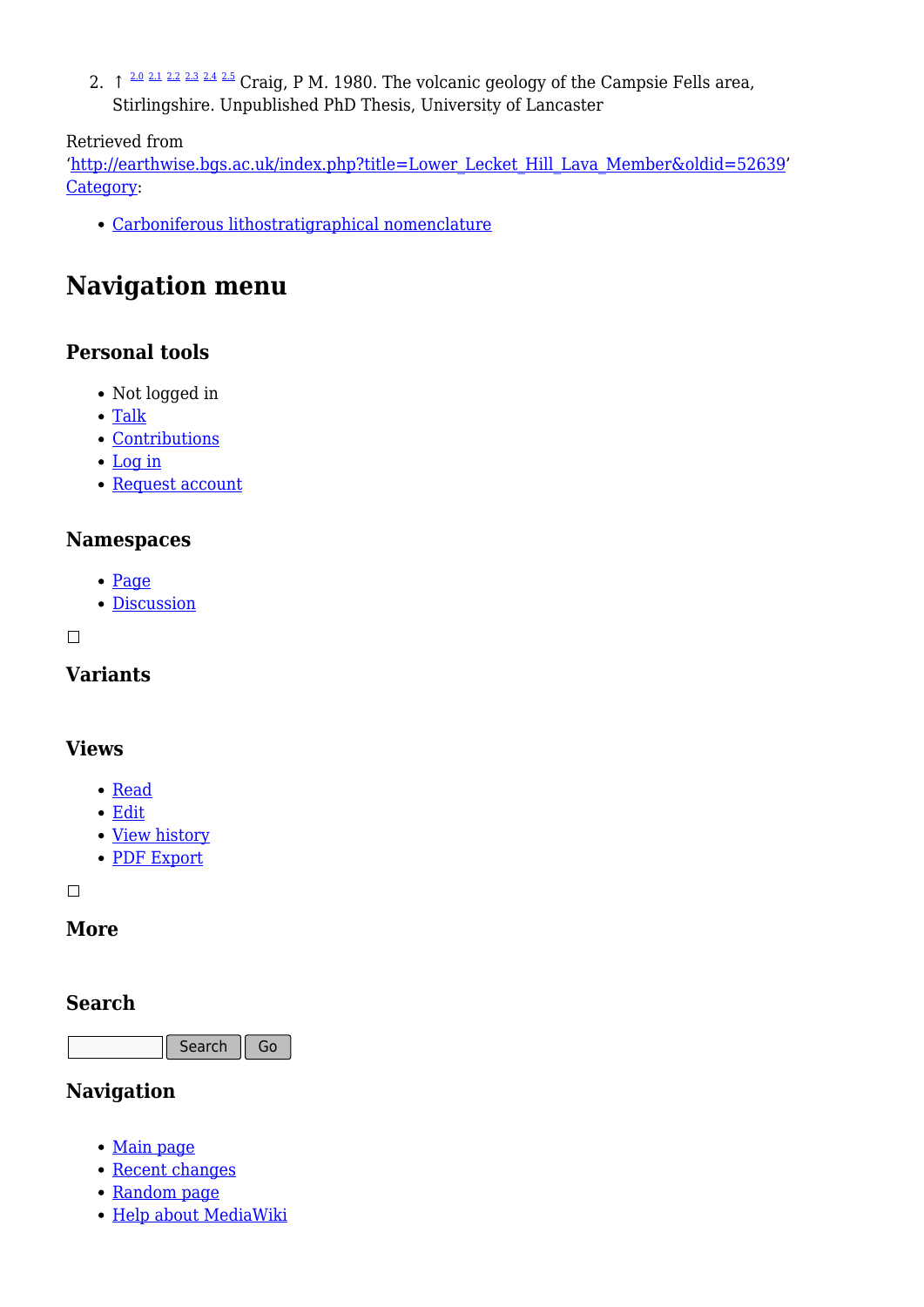2.  $\uparrow$   $\frac{2.0 \times 1.2 \times 2.3 \times 4.2.5}{2.1 \times 1.5 \times 1.5}$  $\frac{2.0 \times 1.2 \times 2.3 \times 4.2.5}{2.1 \times 1.5 \times 1.5}$  $\frac{2.0 \times 1.2 \times 2.3 \times 4.2.5}{2.1 \times 1.5 \times 1.5}$  $\frac{2.0 \times 1.2 \times 2.3 \times 4.2.5}{2.1 \times 1.5 \times 1.5}$  $\frac{2.0 \times 1.2 \times 2.3 \times 4.2.5}{2.1 \times 1.5 \times 1.5}$  Craig, P M. 1980. The volcanic geology of the Campsie Fells area, Stirlingshire. Unpublished PhD Thesis, University of Lancaster

#### Retrieved from

'[http://earthwise.bgs.ac.uk/index.php?title=Lower\\_Lecket\\_Hill\\_Lava\\_Member&oldid=52639](http://earthwise.bgs.ac.uk/index.php?title=Lower_Lecket_Hill_Lava_Member&oldid=52639)' [Category](http://earthwise.bgs.ac.uk/index.php/Special:Categories):

[Carboniferous lithostratigraphical nomenclature](http://earthwise.bgs.ac.uk/index.php/Category:Carboniferous_lithostratigraphical_nomenclature)

## **Navigation menu**

### **Personal tools**

- Not logged in
- [Talk](http://earthwise.bgs.ac.uk/index.php/Special:MyTalk)
- [Contributions](http://earthwise.bgs.ac.uk/index.php/Special:MyContributions)
- [Log in](http://earthwise.bgs.ac.uk/index.php?title=Special:UserLogin&returnto=Lower+Lecket+Hill+Lava+Member&returntoquery=action%3Dmpdf)
- [Request account](http://earthwise.bgs.ac.uk/index.php/Special:RequestAccount)

#### **Namespaces**

- [Page](http://earthwise.bgs.ac.uk/index.php/Lower_Lecket_Hill_Lava_Member)
- [Discussion](http://earthwise.bgs.ac.uk/index.php?title=Talk:Lower_Lecket_Hill_Lava_Member&action=edit&redlink=1)

 $\Box$ 

### **Variants**

#### **Views**

- [Read](http://earthwise.bgs.ac.uk/index.php/Lower_Lecket_Hill_Lava_Member)
- [Edit](http://earthwise.bgs.ac.uk/index.php?title=Lower_Lecket_Hill_Lava_Member&action=edit)
- [View history](http://earthwise.bgs.ac.uk/index.php?title=Lower_Lecket_Hill_Lava_Member&action=history)
- [PDF Export](http://earthwise.bgs.ac.uk/index.php?title=Lower_Lecket_Hill_Lava_Member&action=mpdf)

 $\Box$ 

#### **More**

#### **Search**

Search Go

#### **Navigation**

- [Main page](http://earthwise.bgs.ac.uk/index.php/Main_Page)
- [Recent changes](http://earthwise.bgs.ac.uk/index.php/Special:RecentChanges)
- [Random page](http://earthwise.bgs.ac.uk/index.php/Special:Random)
- [Help about MediaWiki](https://www.mediawiki.org/wiki/Special:MyLanguage/Help:Contents)